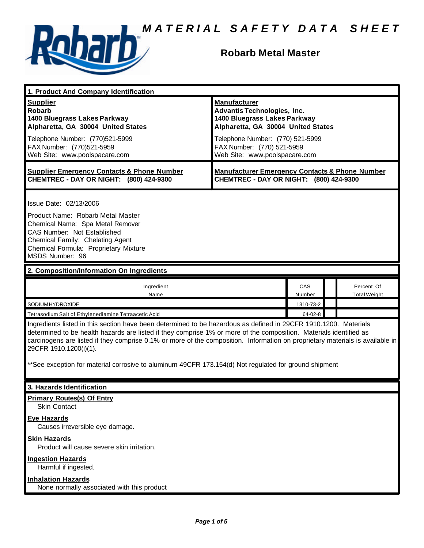

# **Robarb Metal Master**

| 1. Product And Company Identification                                                                                                                                                                                                                                                                                                                                                                                                                                                                                                                                         |                                                                                                                                                                                                                                    |                      |  |                                   |
|-------------------------------------------------------------------------------------------------------------------------------------------------------------------------------------------------------------------------------------------------------------------------------------------------------------------------------------------------------------------------------------------------------------------------------------------------------------------------------------------------------------------------------------------------------------------------------|------------------------------------------------------------------------------------------------------------------------------------------------------------------------------------------------------------------------------------|----------------------|--|-----------------------------------|
| <b>Supplier</b><br><b>Robarb</b><br>1400 Bluegrass Lakes Parkway<br>Alpharetta, GA 30004 United States<br>Telephone Number: (770)521-5999<br>FAX Number: (770)521-5959<br>Web Site: www.poolspacare.com                                                                                                                                                                                                                                                                                                                                                                       | <b>Manufacturer</b><br><b>Advantis Technologies, Inc.</b><br>1400 Bluegrass Lakes Parkway<br>Alpharetta, GA 30004 United States<br>Telephone Number: (770) 521-5999<br>FAX Number: (770) 521-5959<br>Web Site: www.poolspacare.com |                      |  |                                   |
| <b>Supplier Emergency Contacts &amp; Phone Number</b><br>CHEMTREC - DAY OR NIGHT: (800) 424-9300                                                                                                                                                                                                                                                                                                                                                                                                                                                                              | <b>Manufacturer Emergency Contacts &amp; Phone Number</b><br>CHEMTREC - DAY OR NIGHT: (800) 424-9300                                                                                                                               |                      |  |                                   |
| Issue Date: 02/13/2006<br>Product Name: Robarb Metal Master<br>Chemical Name: Spa Metal Remover<br>CAS Number: Not Established<br>Chemical Family: Chelating Agent<br>Chemical Formula: Proprietary Mixture<br>MSDS Number: 96                                                                                                                                                                                                                                                                                                                                                |                                                                                                                                                                                                                                    |                      |  |                                   |
| 2. Composition/Information On Ingredients                                                                                                                                                                                                                                                                                                                                                                                                                                                                                                                                     |                                                                                                                                                                                                                                    |                      |  |                                   |
| Ingredient<br>Name                                                                                                                                                                                                                                                                                                                                                                                                                                                                                                                                                            |                                                                                                                                                                                                                                    | <b>CAS</b><br>Number |  | Percent Of<br><b>Total Weight</b> |
| SODIUMHYDROXIDE                                                                                                                                                                                                                                                                                                                                                                                                                                                                                                                                                               |                                                                                                                                                                                                                                    | 1310-73-2            |  |                                   |
| 64-02-8<br>Tetrasodium Salt of Ethylenediamine Tetraacetic Acid<br>Ingredients listed in this section have been determined to be hazardous as defined in 29CFR 1910.1200. Materials<br>determined to be health hazards are listed if they comprise 1% or more of the composition. Materials identified as<br>carcinogens are listed if they comprise 0.1% or more of the composition. Information on proprietary materials is available in<br>29CFR 1910.1200(i)(1).<br>**See exception for material corrosive to aluminum 49CFR 173.154(d) Not regulated for ground shipment |                                                                                                                                                                                                                                    |                      |  |                                   |
| 3. Hazards Identification                                                                                                                                                                                                                                                                                                                                                                                                                                                                                                                                                     |                                                                                                                                                                                                                                    |                      |  |                                   |
| <b>Primary Routes(s) Of Entry</b><br><b>Skin Contact</b><br><b>Eye Hazards</b><br>Causes irreversible eye damage.<br><b>Skin Hazards</b><br>Product will cause severe skin irritation.<br><b>Ingestion Hazards</b><br>Harmful if ingested.<br><b>Inhalation Hazards</b><br>None normally associated with this product                                                                                                                                                                                                                                                         |                                                                                                                                                                                                                                    |                      |  |                                   |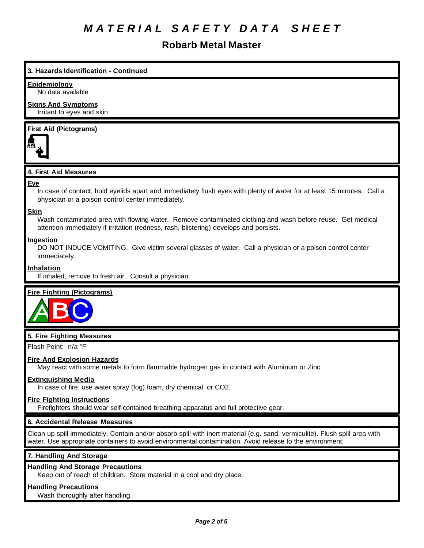# **Robarb Metal Master**

# **3. Hazards Identification - Continued**

#### **Epidemiology**

No data available

#### **Signs And Symptoms** Irritant to eyes and skin

# **First Aid (Pictograms)**



# **4. First Aid Measures**

#### **Eye**

In case of contact, hold eyelids apart and immediately flush eyes with plenty of water for at least 15 minutes. Call a physician or a poison control center immediately.

#### **Skin**

Wash contaminated area with flowing water. Remove contaminated clothing and wash before reuse. Get medical attention immediately if irritation (redness, rash, blistering) develops and persists.

#### **Ingestion**

DO NOT INDUCE VOMITING. Give victim several glasses of water. Call a physician or a poison control center immediately.

#### **Inhalation**

If inhaled, remove to fresh air. Consult a physician.

# **Fire Fighting (Pictograms)**



#### **5. Fire Fighting Measures**

Flash Point: n/a °F

#### **Fire And Explosion Hazards**

May react with some metals to form flammable hydrogen gas in contact with Aluminum or Zinc

#### **Extinguishing Media**

In case of fire, use water spray (fog) foam, dry chemical, or CO2.

#### **Fire Fighting Instructions**

Firefighters should wear self-contained breathing apparatus and full protective gear.

#### **6. Accidental Release Measures**

Clean up spill immediately. Contain and/or absorb spill with inert material (e.g. sand, vermiculite). Flush spill area with water. Use appropriate containers to avoid environmental contamination. Avoid release to the environment.

# **7. Handling And Storage**

# **Handling And Storage Precautions**

Keep out of reach of children. Store material in a cool and dry place.

### **Handling Precautions**

Wash thoroughly after handling.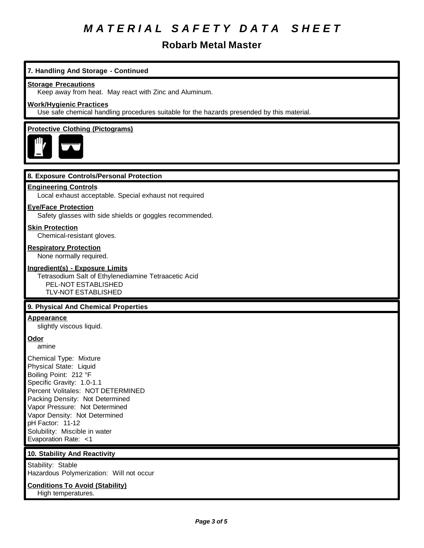# **Robarb Metal Master**

# **7. Handling And Storage - Continued**

#### **Storage Precautions**

Keep away from heat. May react with Zinc and Aluminum.

#### **Work/Hygienic Practices**

Use safe chemical handling procedures suitable for the hazards presended by this material.

# **Protective Clothing (Pictograms)**



# **8. Exposure Controls/Personal Protection**

#### **Engineering Controls**

Local exhaust acceptable. Special exhaust not required

#### **Eye/Face Protection**

Safety glasses with side shields or goggles recommended.

#### **Skin Protection**

Chemical-resistant gloves.

#### **Respiratory Protection**

None normally required.

#### **Ingredient(s) - Exposure Limits**

Tetrasodium Salt of Ethylenediamine Tetraacetic Acid PEL-NOT ESTABLISHED TLV-NOT ESTABLISHED

# **9. Physical And Chemical Properties**

### **Appearance**

slightly viscous liquid.

# **Odor**

amine

Chemical Type: Mixture Physical State: Liquid Boiling Point: 212 °F Specific Gravity: 1.0-1.1 Percent Volitales: NOT DETERMINED Packing Density: Not Determined Vapor Pressure: Not Determined Vapor Density: Not Determined pH Factor: 11-12 Solubility: Miscible in water Evaporation Rate: <1

# **10. Stability And Reactivity**

Stability: Stable Hazardous Polymerization: Will not occur

#### **Conditions To Avoid (Stability)**

High temperatures.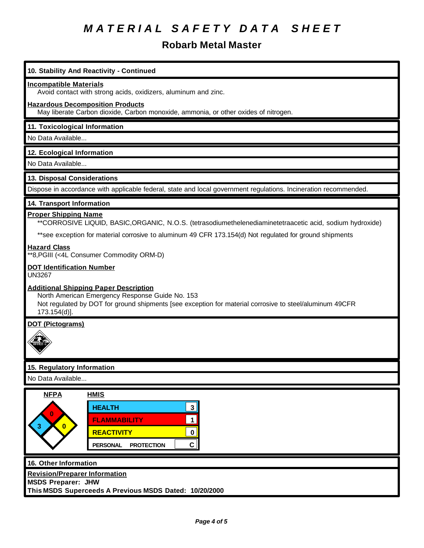# **Robarb Metal Master**

# **10. Stability And Reactivity - Continued**

#### **Incompatible Materials**

Avoid contact with strong acids, oxidizers, aluminum and zinc.

#### **Hazardous Decomposition Products**

May liberate Carbon dioxide, Carbon monoxide, ammonia, or other oxides of nitrogen.

### **11. Toxicological Information**

No Data Available...

#### **12. Ecological Information**

No Data Available...

# **13. Disposal Considerations**

Dispose in accordance with applicable federal, state and local government regulations. Incineration recommended.

#### **14. Transport Information**

#### **Proper Shipping Name**

\*\*CORROSIVE LIQUID, BASIC,ORGANIC, N.O.S. (tetrasodiumethelenediaminetetraacetic acid, sodium hydroxide)

\*\*see exception for material corrosive to aluminum 49 CFR 173.154(d) Not regulated for ground shipments

#### **Hazard Class**

\*\*8,PGIII (<4L Consumer Commodity ORM-D)

#### **DOT Identification Number**

UN3267

#### **Additional Shipping Paper Description**

North American Emergency Response Guide No. 153 Not regulated by DOT for ground shipments [see exception for material corrosive to steel/aluminum 49CFR 173.154(d)].

### **DOT (Pictograms)**



# **15. Regulatory Information**

No Data Available...



#### **16. Other Information**

**Revision/Preparer Information**

**MSDS Preparer: JHW**

**This MSDS Superceeds A Previous MSDS Dated: 10/20/2000**